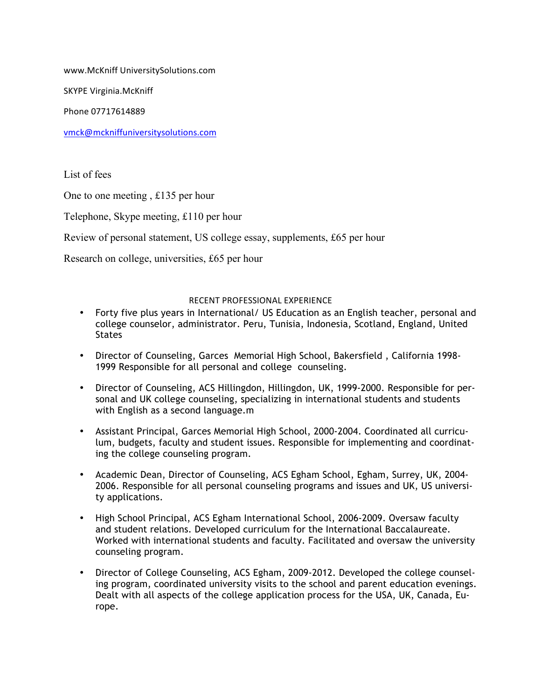www.McKniff UniversitySolutions.com

SKYPE Virginia.McKniff 

Phone 07717614889

vmck@mckniffuniversitysolutions.com

List of fees

One to one meeting , £135 per hour

Telephone, Skype meeting, £110 per hour

Review of personal statement, US college essay, supplements, £65 per hour

Research on college, universities, £65 per hour

### RECENT PROFESSIONAL EXPERIENCE

- Forty five plus years in International/ US Education as an English teacher, personal and college counselor, administrator. Peru, Tunisia, Indonesia, Scotland, England, United **States**
- Director of Counseling, Garces Memorial High School, Bakersfield , California 1998- 1999 Responsible for all personal and college counseling.
- Director of Counseling, ACS Hillingdon, Hillingdon, UK, 1999-2000. Responsible for personal and UK college counseling, specializing in international students and students with English as a second language.m
- Assistant Principal, Garces Memorial High School, 2000-2004. Coordinated all curriculum, budgets, faculty and student issues. Responsible for implementing and coordinating the college counseling program.
- Academic Dean, Director of Counseling, ACS Egham School, Egham, Surrey, UK, 2004- 2006. Responsible for all personal counseling programs and issues and UK, US university applications.
- High School Principal, ACS Egham International School, 2006-2009. Oversaw faculty and student relations. Developed curriculum for the International Baccalaureate. Worked with international students and faculty. Facilitated and oversaw the university counseling program.
- Director of College Counseling, ACS Egham, 2009-2012. Developed the college counseling program, coordinated university visits to the school and parent education evenings. Dealt with all aspects of the college application process for the USA, UK, Canada, Europe.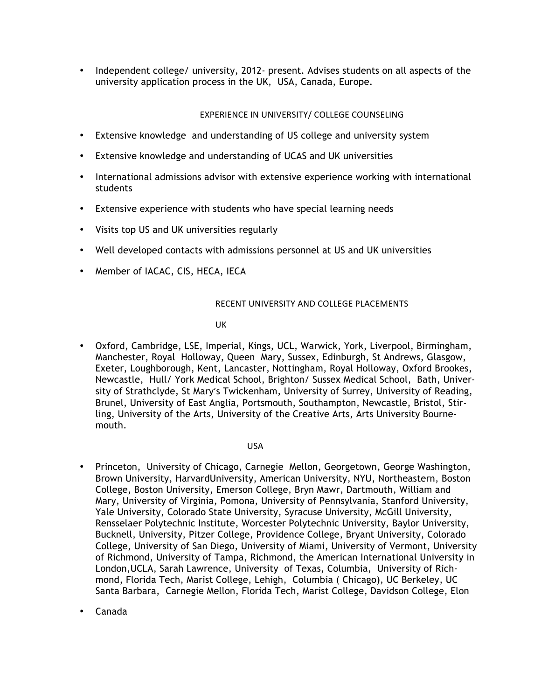• Independent college/ university, 2012- present. Advises students on all aspects of the university application process in the UK, USA, Canada, Europe.

# EXPERIENCE IN UNIVERSITY/ COLLEGE COUNSELING

- Extensive knowledge and understanding of US college and university system
- Extensive knowledge and understanding of UCAS and UK universities
- International admissions advisor with extensive experience working with international students
- Extensive experience with students who have special learning needs
- Visits top US and UK universities regularly
- Well developed contacts with admissions personnel at US and UK universities
- Member of IACAC, CIS, HECA, IECA

### RECENT UNIVERSITY AND COLLEGE PLACEMENTS

UK

• Oxford, Cambridge, LSE, Imperial, Kings, UCL, Warwick, York, Liverpool, Birmingham, Manchester, Royal Holloway, Queen Mary, Sussex, Edinburgh, St Andrews, Glasgow, Exeter, Loughborough, Kent, Lancaster, Nottingham, Royal Holloway, Oxford Brookes, Newcastle, Hull/ York Medical School, Brighton/ Sussex Medical School, Bath, University of Strathclyde, St Mary's Twickenham, University of Surrey, University of Reading, Brunel, University of East Anglia, Portsmouth, Southampton, Newcastle, Bristol, Stirling, University of the Arts, University of the Creative Arts, Arts University Bournemouth.

#### USA

- Princeton, University of Chicago, Carnegie Mellon, Georgetown, George Washington, Brown University, HarvardUniversity, American University, NYU, Northeastern, Boston College, Boston University, Emerson College, Bryn Mawr, Dartmouth, William and Mary, University of Virginia, Pomona, University of Pennsylvania, Stanford University, Yale University, Colorado State University, Syracuse University, McGill University, Rensselaer Polytechnic Institute, Worcester Polytechnic University, Baylor University, Bucknell, University, Pitzer College, Providence College, Bryant University, Colorado College, University of San Diego, University of Miami, University of Vermont, University of Richmond, University of Tampa, Richmond, the American International University in London,UCLA, Sarah Lawrence, University of Texas, Columbia, University of Richmond, Florida Tech, Marist College, Lehigh, Columbia ( Chicago), UC Berkeley, UC Santa Barbara, Carnegie Mellon, Florida Tech, Marist College, Davidson College, Elon
- Canada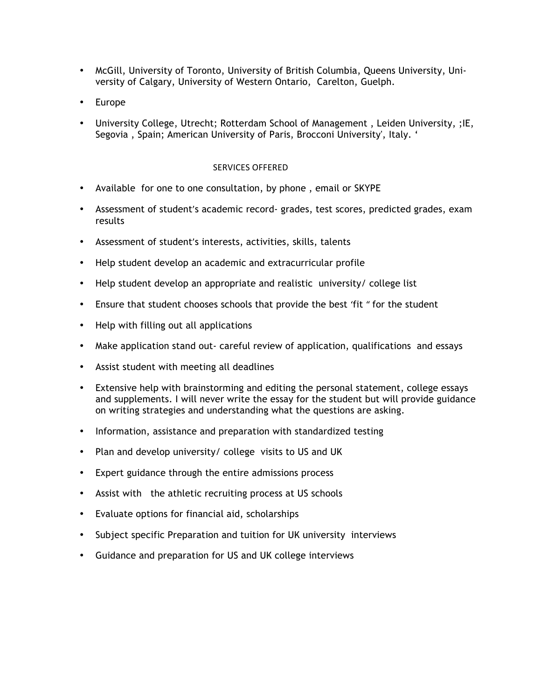- McGill, University of Toronto, University of British Columbia, Queens University, University of Calgary, University of Western Ontario, Carelton, Guelph.
- Europe
- University College, Utrecht; Rotterdam School of Management , Leiden University, ;IE, Segovia , Spain; American University of Paris, Brocconi University', Italy. '

### SERVICES OFFERED

- Available for one to one consultation, by phone , email or SKYPE
- Assessment of student's academic record- grades, test scores, predicted grades, exam results
- Assessment of student's interests, activities, skills, talents
- Help student develop an academic and extracurricular profile
- Help student develop an appropriate and realistic university/ college list
- Ensure that student chooses schools that provide the best 'fit " for the student
- Help with filling out all applications
- Make application stand out- careful review of application, qualifications and essays
- Assist student with meeting all deadlines
- Extensive help with brainstorming and editing the personal statement, college essays and supplements. I will never write the essay for the student but will provide guidance on writing strategies and understanding what the questions are asking.
- Information, assistance and preparation with standardized testing
- Plan and develop university/ college visits to US and UK
- Expert guidance through the entire admissions process
- Assist with the athletic recruiting process at US schools
- Evaluate options for financial aid, scholarships
- Subject specific Preparation and tuition for UK university interviews
- Guidance and preparation for US and UK college interviews